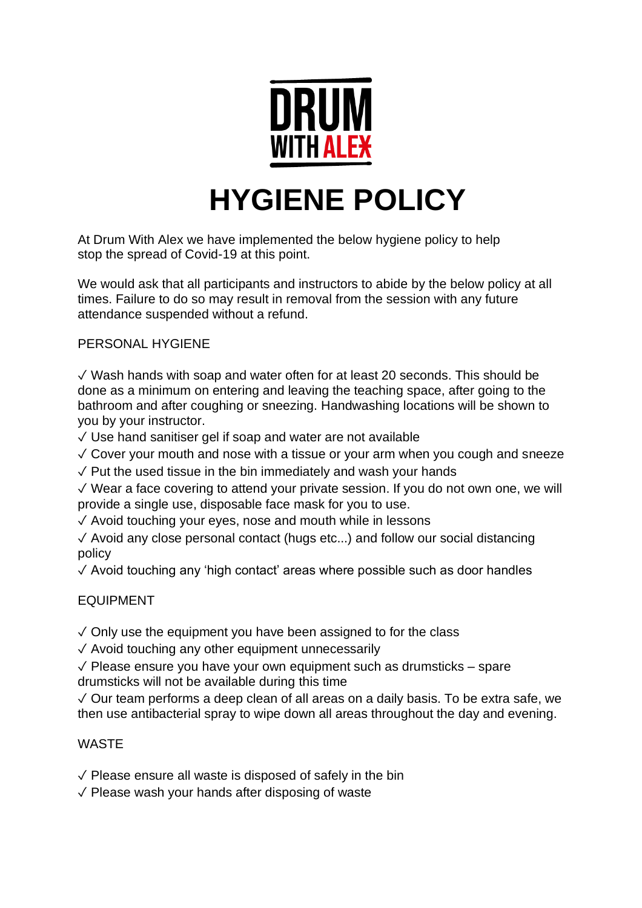

# **HYGIENE POLICY**

At Drum With Alex we have implemented the below hygiene policy to help stop the spread of Covid-19 at this point.

We would ask that all participants and instructors to abide by the below policy at all times. Failure to do so may result in removal from the session with any future attendance suspended without a refund.

## PERSONAL HYGIENE

✓ Wash hands with soap and water often for at least 20 seconds. This should be done as a minimum on entering and leaving the teaching space, after going to the bathroom and after coughing or sneezing. Handwashing locations will be shown to you by your instructor.

 $\sqrt{2}$  Use hand sanitiser gel if soap and water are not available

 $\sqrt{2}$  Cover your mouth and nose with a tissue or your arm when you cough and sneeze

 $\sqrt{2}$  Put the used tissue in the bin immediately and wash your hands

✓ Wear a face covering to attend your private session. If you do not own one, we will provide a single use, disposable face mask for you to use.

✓ Avoid touching your eyes, nose and mouth while in lessons

✓ Avoid any close personal contact (hugs etc...) and follow our social distancing policy

✓ Avoid touching any 'high contact' areas where possible such as door handles

## EQUIPMENT

 $\sqrt{2}$  Only use the equipment you have been assigned to for the class

✓ Avoid touching any other equipment unnecessarily

 $\sqrt{\ }$  Please ensure you have your own equipment such as drumsticks – spare drumsticks will not be available during this time

✓ Our team performs a deep clean of all areas on a daily basis. To be extra safe, we then use antibacterial spray to wipe down all areas throughout the day and evening.

#### WASTE

 $\sqrt{\ }$  Please ensure all waste is disposed of safely in the bin

✓ Please wash your hands after disposing of waste